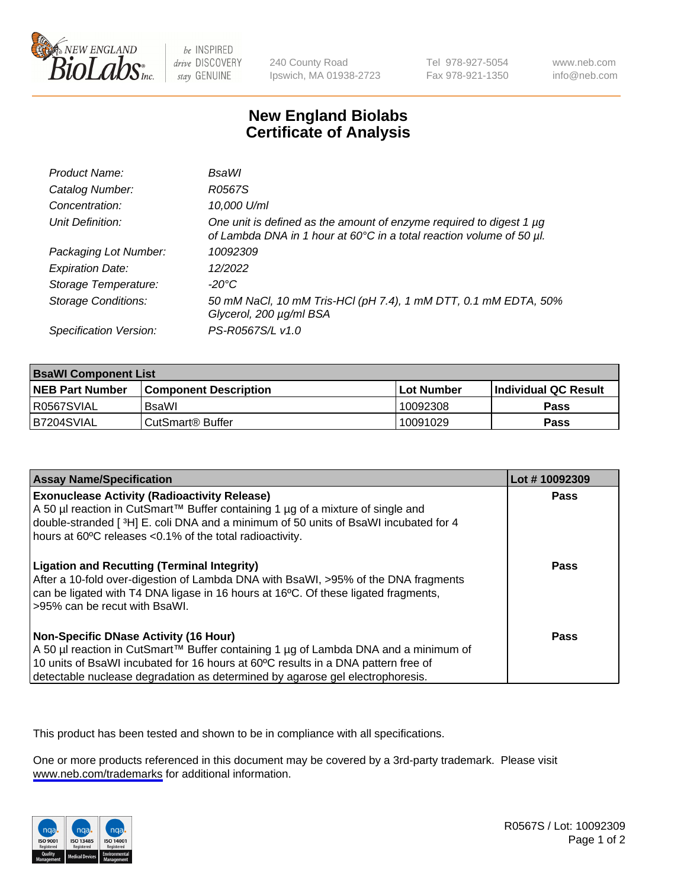

be INSPIRED drive DISCOVERY stay GENUINE

240 County Road Ipswich, MA 01938-2723 Tel 978-927-5054 Fax 978-921-1350

www.neb.com info@neb.com

## **New England Biolabs Certificate of Analysis**

| Product Name:              | <b>BsaWI</b>                                                                                                                                |
|----------------------------|---------------------------------------------------------------------------------------------------------------------------------------------|
| Catalog Number:            | R0567S                                                                                                                                      |
| Concentration:             | 10,000 U/ml                                                                                                                                 |
| Unit Definition:           | One unit is defined as the amount of enzyme required to digest 1 µg<br>of Lambda DNA in 1 hour at 60°C in a total reaction volume of 50 µl. |
| Packaging Lot Number:      | 10092309                                                                                                                                    |
| <b>Expiration Date:</b>    | 12/2022                                                                                                                                     |
| Storage Temperature:       | $-20^{\circ}$ C                                                                                                                             |
| <b>Storage Conditions:</b> | 50 mM NaCl, 10 mM Tris-HCl (pH 7.4), 1 mM DTT, 0.1 mM EDTA, 50%<br>Glycerol, 200 µg/ml BSA                                                  |
| Specification Version:     | PS-R0567S/L v1.0                                                                                                                            |

| <b>BsaWI Component List</b> |                         |              |                             |  |
|-----------------------------|-------------------------|--------------|-----------------------------|--|
| <b>NEB Part Number</b>      | l Component Description | l Lot Number | <b>Individual QC Result</b> |  |
| R0567SVIAL                  | BsaWl                   | 10092308     | Pass                        |  |
| B7204SVIAL                  | l CutSmart® Buffer      | 10091029     | Pass                        |  |

| <b>Assay Name/Specification</b>                                                                                                                                                                                                                                                                           | Lot #10092309 |
|-----------------------------------------------------------------------------------------------------------------------------------------------------------------------------------------------------------------------------------------------------------------------------------------------------------|---------------|
| <b>Exonuclease Activity (Radioactivity Release)</b><br>A 50 µl reaction in CutSmart™ Buffer containing 1 µg of a mixture of single and<br>double-stranded [3H] E. coli DNA and a minimum of 50 units of BsaWI incubated for 4<br>hours at 60°C releases <0.1% of the total radioactivity.                 | Pass          |
| <b>Ligation and Recutting (Terminal Integrity)</b><br>After a 10-fold over-digestion of Lambda DNA with BsaWI, >95% of the DNA fragments<br>can be ligated with T4 DNA ligase in 16 hours at 16°C. Of these ligated fragments,<br>>95% can be recut with BsaWI.                                           | <b>Pass</b>   |
| <b>Non-Specific DNase Activity (16 Hour)</b><br>A 50 µl reaction in CutSmart™ Buffer containing 1 µg of Lambda DNA and a minimum of<br>10 units of BsaWI incubated for 16 hours at 60°C results in a DNA pattern free of<br>detectable nuclease degradation as determined by agarose gel electrophoresis. | Pass          |

This product has been tested and shown to be in compliance with all specifications.

One or more products referenced in this document may be covered by a 3rd-party trademark. Please visit <www.neb.com/trademarks>for additional information.